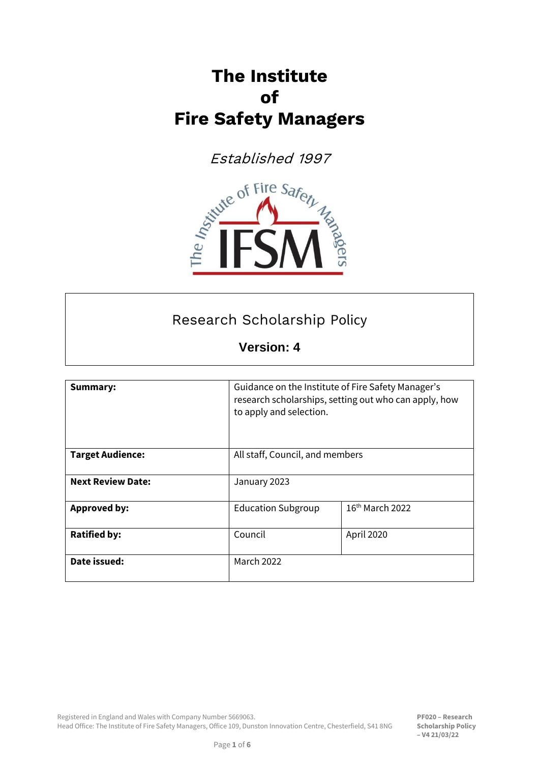# **The Institute of Fire Safety Managers**



# Research Scholarship Policy

**Version: 4**

| <b>Summary:</b>          | Guidance on the Institute of Fire Safety Manager's<br>research scholarships, setting out who can apply, how<br>to apply and selection. |                   |  |
|--------------------------|----------------------------------------------------------------------------------------------------------------------------------------|-------------------|--|
| <b>Target Audience:</b>  | All staff, Council, and members                                                                                                        |                   |  |
| <b>Next Review Date:</b> | January 2023                                                                                                                           |                   |  |
| <b>Approved by:</b>      | <b>Education Subgroup</b>                                                                                                              | $16th$ March 2022 |  |
| <b>Ratified by:</b>      | Council                                                                                                                                | April 2020        |  |
| Date issued:             | March 2022                                                                                                                             |                   |  |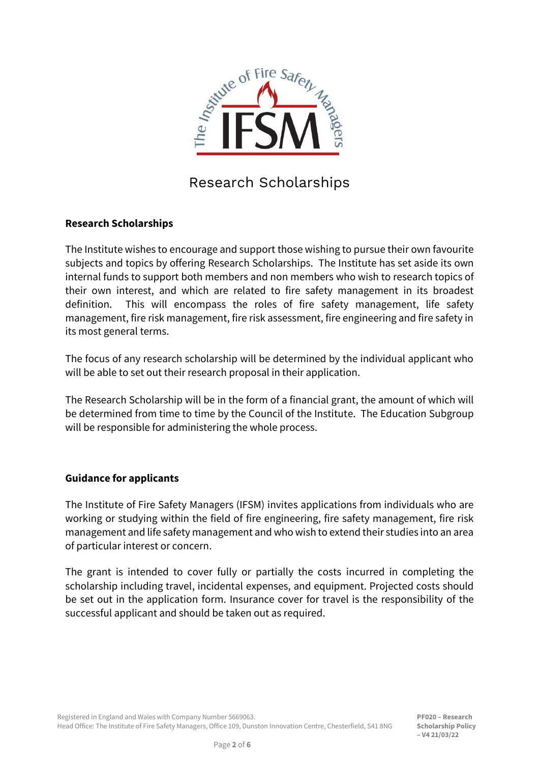

# Research Scholarships

#### **Research Scholarships**

The Institute wishes to encourage and support those wishing to pursue their own favourite subjects and topics by offering Research Scholarships. The Institute has set aside its own internal funds to support both members and non members who wish to research topics of their own interest, and which are related to fire safety management in its broadest definition. This will encompass the roles of fire safety management, life safety management, fire risk management, fire risk assessment, fire engineering and fire safety in its most general terms.

The focus of any research scholarship will be determined by the individual applicant who will be able to set out their research proposal in their application.

The Research Scholarship will be in the form of a financial grant, the amount of which will be determined from time to time by the Council of the Institute. The Education Subgroup will be responsible for administering the whole process.

#### **Guidance for applicants**

The Institute of Fire Safety Managers (IFSM) invites applications from individuals who are working or studying within the field of fire engineering, fire safety management, fire risk management and life safety management and who wish to extend their studies into an area of particular interest or concern.

The grant is intended to cover fully or partially the costs incurred in completing the scholarship including travel, incidental expenses, and equipment. Projected costs should be set out in the application form. Insurance cover for travel is the responsibility of the successful applicant and should be taken out as required.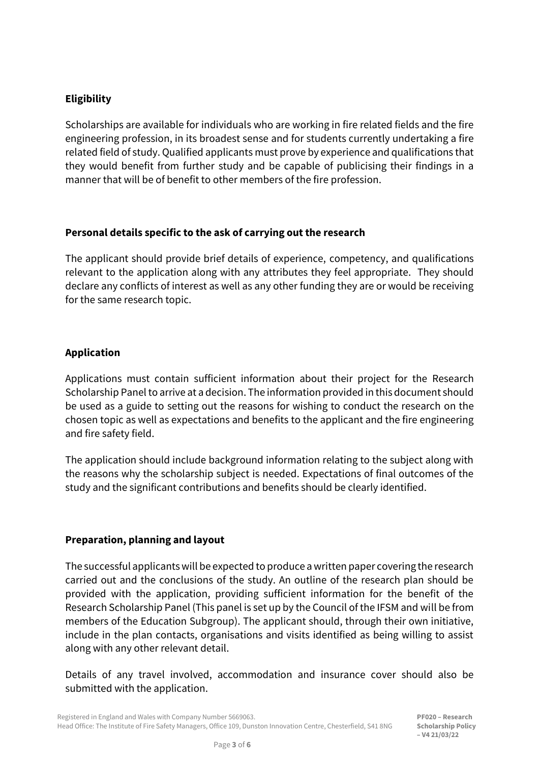#### **Eligibility**

Scholarships are available for individuals who are working in fire related fields and the fire engineering profession, in its broadest sense and for students currently undertaking a fire related field of study. Qualified applicants must prove by experience and qualifications that they would benefit from further study and be capable of publicising their findings in a manner that will be of benefit to other members of the fire profession.

#### **Personal details specific to the ask of carrying out the research**

The applicant should provide brief details of experience, competency, and qualifications relevant to the application along with any attributes they feel appropriate. They should declare any conflicts of interest as well as any other funding they are or would be receiving for the same research topic.

#### **Application**

Applications must contain sufficient information about their project for the Research Scholarship Panel to arrive at a decision. The information provided in this document should be used as a guide to setting out the reasons for wishing to conduct the research on the chosen topic as well as expectations and benefits to the applicant and the fire engineering and fire safety field.

The application should include background information relating to the subject along with the reasons why the scholarship subject is needed. Expectations of final outcomes of the study and the significant contributions and benefits should be clearly identified.

#### **Preparation, planning and layout**

The successful applicants will be expected to produce a written paper covering the research carried out and the conclusions of the study. An outline of the research plan should be provided with the application, providing sufficient information for the benefit of the Research Scholarship Panel (This panel is set up by the Council of the IFSM and will be from members of the Education Subgroup). The applicant should, through their own initiative, include in the plan contacts, organisations and visits identified as being willing to assist along with any other relevant detail.

Details of any travel involved, accommodation and insurance cover should also be submitted with the application.

**PF020 – Research Scholarship Policy – V4 21/03/22**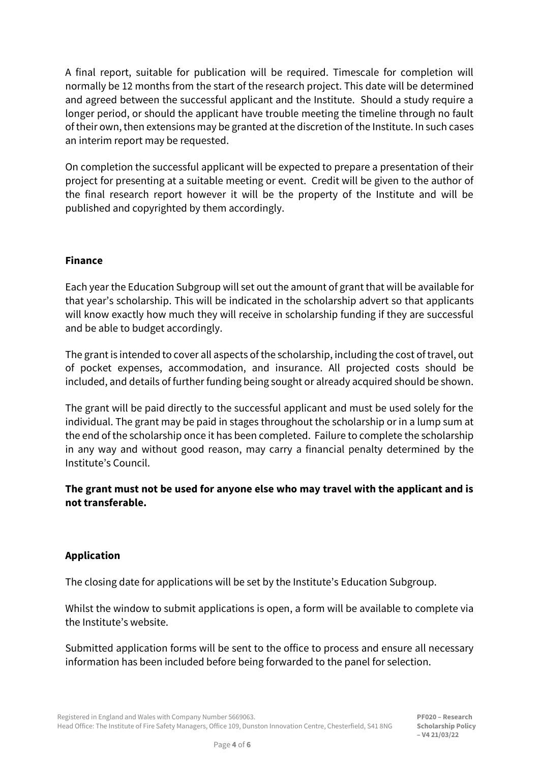A final report, suitable for publication will be required. Timescale for completion will normally be 12 months from the start of the research project. This date will be determined and agreed between the successful applicant and the Institute. Should a study require a longer period, or should the applicant have trouble meeting the timeline through no fault of their own, then extensions may be granted at the discretion of the Institute. In such cases an interim report may be requested.

On completion the successful applicant will be expected to prepare a presentation of their project for presenting at a suitable meeting or event. Credit will be given to the author of the final research report however it will be the property of the Institute and will be published and copyrighted by them accordingly.

#### **Finance**

Each year the Education Subgroup will set out the amount of grant that will be available for that year's scholarship. This will be indicated in the scholarship advert so that applicants will know exactly how much they will receive in scholarship funding if they are successful and be able to budget accordingly.

The grant is intended to cover all aspects of the scholarship, including the cost of travel, out of pocket expenses, accommodation, and insurance. All projected costs should be included, and details of further funding being sought or already acquired should be shown.

The grant will be paid directly to the successful applicant and must be used solely for the individual. The grant may be paid in stages throughout the scholarship or in a lump sum at the end of the scholarship once it has been completed. Failure to complete the scholarship in any way and without good reason, may carry a financial penalty determined by the Institute's Council.

#### **The grant must not be used for anyone else who may travel with the applicant and is not transferable.**

#### **Application**

The closing date for applications will be set by the Institute's Education Subgroup.

Whilst the window to submit applications is open, a form will be available to complete via the Institute's website.

Submitted application forms will be sent to the office to process and ensure all necessary information has been included before being forwarded to the panel for selection.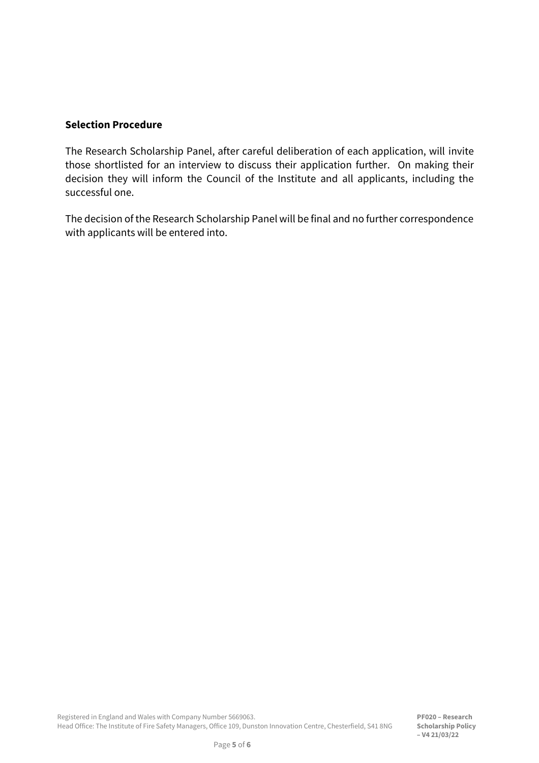#### **Selection Procedure**

The Research Scholarship Panel, after careful deliberation of each application, will invite those shortlisted for an interview to discuss their application further. On making their decision they will inform the Council of the Institute and all applicants, including the successful one.

The decision of the Research Scholarship Panel will be final and no further correspondence with applicants will be entered into.

**PF020 – Research Scholarship Policy – V4 21/03/22**